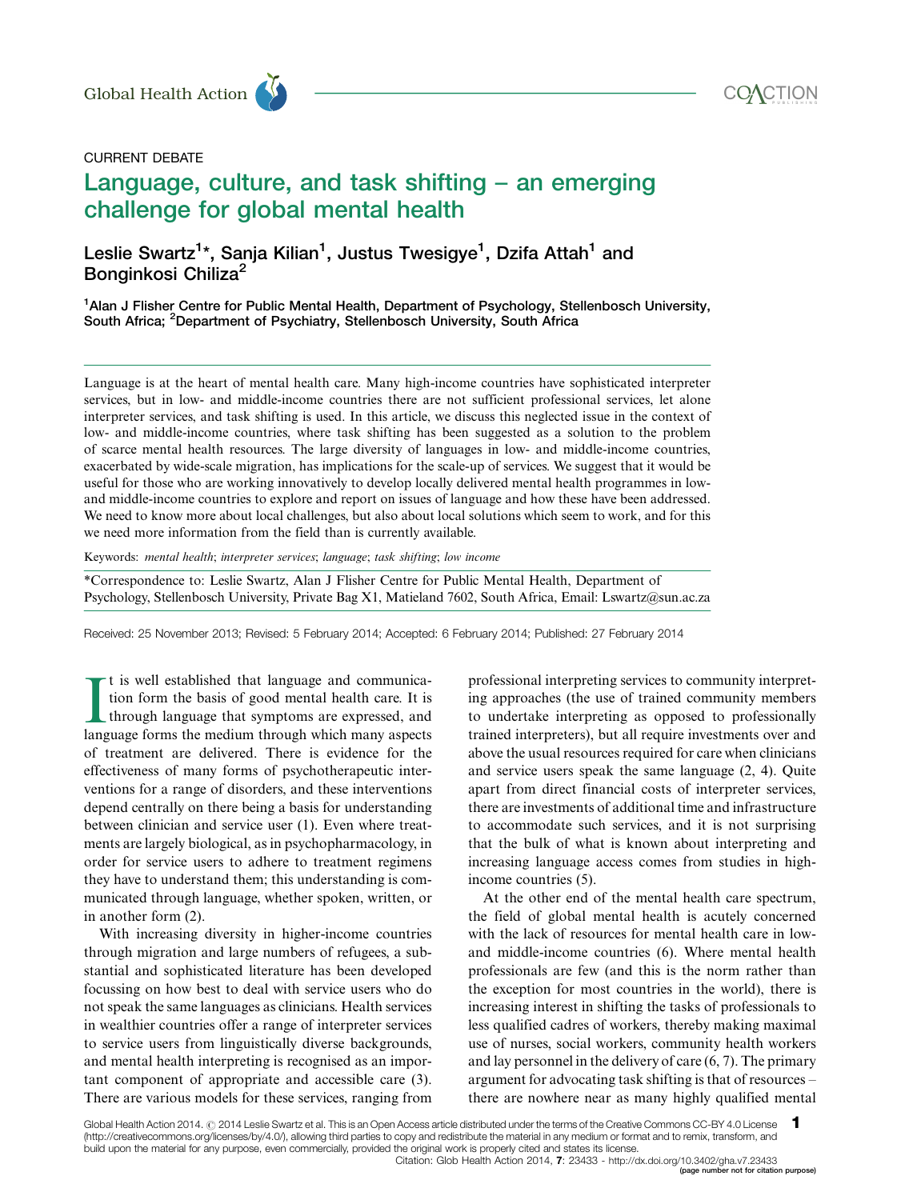CURRENT DEBATE



# Language, culture, and task shifting – an emerging challenge for global mental health Global Health Action<br>
CURRENT DEBATE<br>
Language, culture, and task shifting – an emerging

Leslie Swartz<sup>1</sup>\*, Sanja Kilian<sup>1</sup>, Justus Twesigye<sup>1</sup>, Dzifa Attah<sup>1</sup> and Bonginkosi Chiliza<sup>2</sup>

<sup>1</sup>Alan J Flisher Centre for Public Mental Health, Department of Psychology, Stellenbosch University, South Africa; <sup>2</sup>Department of Psychiatry, Stellenbosch University, South Africa

Language is at the heart of mental health care. Many high-income countries have sophisticated interpreter services, but in low- and middle-income countries there are not sufficient professional services, let alone interpreter services, and task shifting is used. In this article, we discuss this neglected issue in the context of low- and middle-income countries, where task shifting has been suggested as a solution to the problem of scarce mental health resources. The large diversity of languages in low- and middle-income countries, exacerbated by wide-scale migration, has implications for the scale-up of services. We suggest that it would be useful for those who are working innovatively to develop locally delivered mental health programmes in lowand middle-income countries to explore and report on issues of language and how these have been addressed. We need to know more about local challenges, but also about local solutions which seem to work, and for this we need more information from the field than is currently available.

Keywords: mental health; interpreter services; language; task shifting; low income

\*Correspondence to: Leslie Swartz, Alan J Flisher Centre for Public Mental Health, Department of Psychology, Stellenbosch University, Private Bag X1, Matieland 7602, South Africa, Email: Lswartz@sun.ac.za

Received: 25 November 2013; Revised: 5 February 2014; Accepted: 6 February 2014; Published: 27 February 2014

It is well established that language and communication form the basis of good mental health care. It is through language that symptoms are expressed, and language forms the medium through which many aspects t is well established that language and communication form the basis of good mental health care. It is through language that symptoms are expressed, and of treatment are delivered. There is evidence for the effectiveness of many forms of psychotherapeutic interventions for a range of disorders, and these interventions depend centrally on there being a basis for understanding between clinician and service user (1). Even where treatments are largely biological, as in psychopharmacology, in order for service users to adhere to treatment regimens they have to understand them; this understanding is communicated through language, whether spoken, written, or in another form (2).

With increasing diversity in higher-income countries through migration and large numbers of refugees, a substantial and sophisticated literature has been developed focussing on how best to deal with service users who do not speak the same languages as clinicians. Health services in wealthier countries offer a range of interpreter services to service users from linguistically diverse backgrounds, and mental health interpreting is recognised as an important component of appropriate and accessible care (3). There are various models for these services, ranging from

professional interpreting services to community interpreting approaches (the use of trained community members to undertake interpreting as opposed to professionally trained interpreters), but all require investments over and above the usual resources required for care when clinicians and service users speak the same language (2, 4). Quite apart from direct financial costs of interpreter services, there are investments of additional time and infrastructure to accommodate such services, and it is not surprising that the bulk of what is known about interpreting and increasing language access comes from studies in highincome countries (5).

At the other end of the mental health care spectrum, the field of global mental health is acutely concerned with the lack of resources for mental health care in lowand middle-income countries (6). Where mental health professionals are few (and this is the norm rather than the exception for most countries in the world), there is increasing interest in shifting the tasks of professionals to less qualified cadres of workers, thereby making maximal use of nurses, social workers, community health workers and lay personnel in the delivery of care (6, 7). The primary argument for advocating task shifting is that of resources there are nowhere near as many highly qualified mental

Global Health Action 2014. @ 2014 Leslie Swartz et al. This is an Open Access article distributed under the terms of the Creative Commons CC-BY 4.0 License (http://creativecommons.org/licenses/by/4.0/), allowing third parties to copy and redistribute the material in any medium or format and to remix, transform, and build upon the material for any purpose, even commercially, provided the original work is properly cited and states its license. 1 [Citation: Glob Health Action 2014,](http://www.globalhealthaction.net/index.php/gha/article/view/23433) 7: 23433 - <http://dx.doi.org/10.3402/gha.v7.23433> (page number not for citation purpose)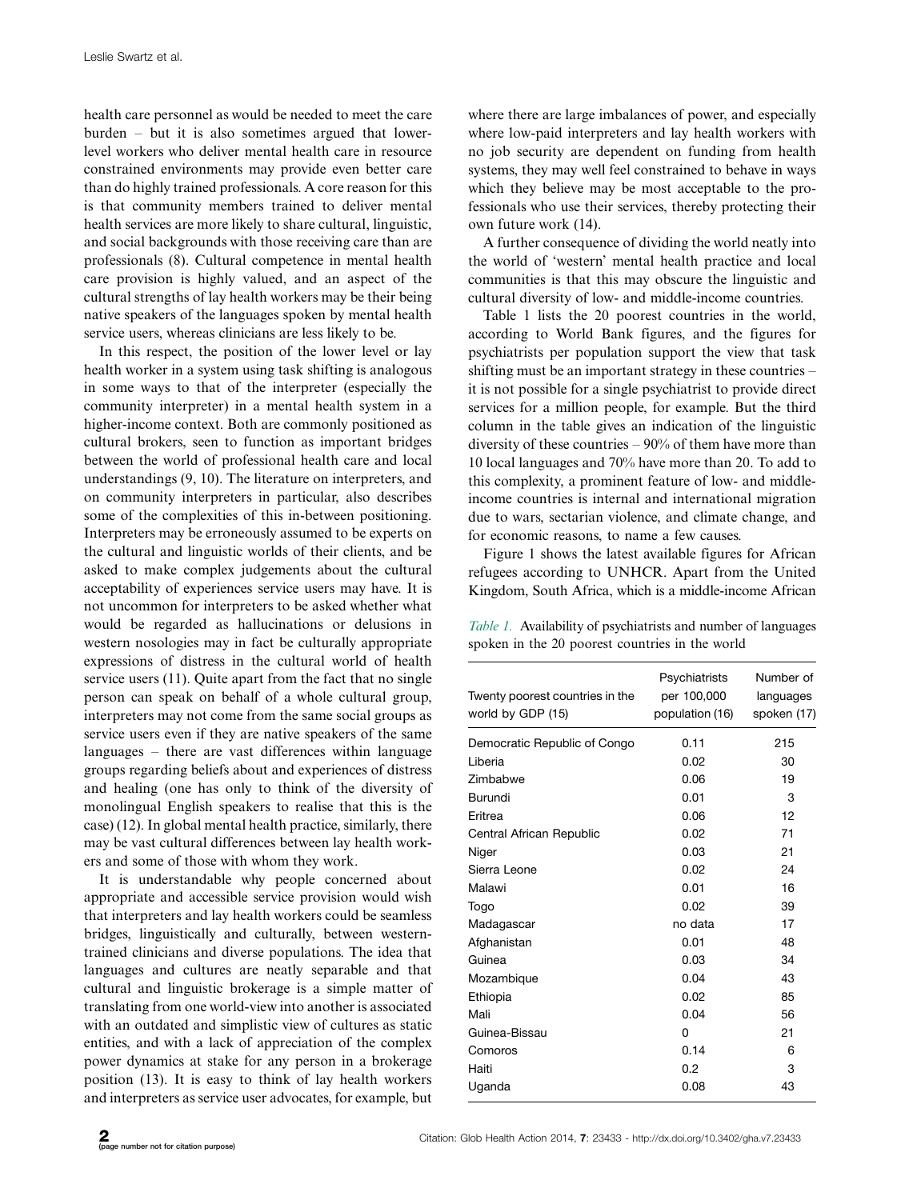health care personnel as would be needed to meet the care burden - but it is also sometimes argued that lowerlevel workers who deliver mental health care in resource constrained environments may provide even better care than do highly trained professionals. A core reason for this is that community members trained to deliver mental health services are more likely to share cultural, linguistic, and social backgrounds with those receiving care than are professionals (8). Cultural competence in mental health care provision is highly valued, and an aspect of the cultural strengths of lay health workers may be their being native speakers of the languages spoken by mental health service users, whereas clinicians are less likely to be.

In this respect, the position of the lower level or lay health worker in a system using task shifting is analogous in some ways to that of the interpreter (especially the community interpreter) in a mental health system in a higher-income context. Both are commonly positioned as cultural brokers, seen to function as important bridges between the world of professional health care and local understandings (9, 10). The literature on interpreters, and on community interpreters in particular, also describes some of the complexities of this in-between positioning. Interpreters may be erroneously assumed to be experts on the cultural and linguistic worlds of their clients, and be asked to make complex judgements about the cultural acceptability of experiences service users may have. It is not uncommon for interpreters to be asked whether what would be regarded as hallucinations or delusions in western nosologies may in fact be culturally appropriate expressions of distress in the cultural world of health service users (11). Quite apart from the fact that no single person can speak on behalf of a whole cultural group, interpreters may not come from the same social groups as service users even if they are native speakers of the same languages - there are vast differences within language groups regarding beliefs about and experiences of distress and healing (one has only to think of the diversity of monolingual English speakers to realise that this is the case) (12). In global mental health practice, similarly, there may be vast cultural differences between lay health workers and some of those with whom they work.

It is understandable why people concerned about appropriate and accessible service provision would wish that interpreters and lay health workers could be seamless bridges, linguistically and culturally, between westerntrained clinicians and diverse populations. The idea that languages and cultures are neatly separable and that cultural and linguistic brokerage is a simple matter of translating from one world-view into another is associated with an outdated and simplistic view of cultures as static entities, and with a lack of appreciation of the complex power dynamics at stake for any person in a brokerage position (13). It is easy to think of lay health workers and interpreters as service user advocates, for example, but

where there are large imbalances of power, and especially where low-paid interpreters and lay health workers with no job security are dependent on funding from health systems, they may well feel constrained to behave in ways which they believe may be most acceptable to the professionals who use their services, thereby protecting their own future work (14).

A further consequence of dividing the world neatly into the world of 'western' mental health practice and local communities is that this may obscure the linguistic and cultural diversity of low- and middle-income countries.

Table 1 lists the 20 poorest countries in the world, according to World Bank figures, and the figures for psychiatrists per population support the view that task shifting must be an important strategy in these countries it is not possible for a single psychiatrist to provide direct services for a million people, for example. But the third column in the table gives an indication of the linguistic diversity of these countries  $-90\%$  of them have more than 10 local languages and 70% have more than 20. To add to this complexity, a prominent feature of low- and middleincome countries is internal and international migration due to wars, sectarian violence, and climate change, and for economic reasons, to name a few causes.

Figure 1 shows the latest available figures for African refugees according to UNHCR. Apart from the United Kingdom, South Africa, which is a middle-income African

|  |                                                 |  | <i>Table 1.</i> Availability of psychiatrists and number of languages |
|--|-------------------------------------------------|--|-----------------------------------------------------------------------|
|  | spoken in the 20 poorest countries in the world |  |                                                                       |

| Twenty poorest countries in the<br>world by GDP (15) | Psychiatrists<br>per 100,000<br>population (16) | Number of<br>languages<br>spoken (17) |
|------------------------------------------------------|-------------------------------------------------|---------------------------------------|
| Democratic Republic of Congo                         | 0.11                                            | 215                                   |
| Liberia                                              | 0.02                                            | 30                                    |
| Zimbabwe                                             | 0.06                                            | 19                                    |
| Burundi                                              | 0.01                                            | 3                                     |
| Eritrea                                              | 0.06                                            | 12                                    |
| Central African Republic                             | 0.02                                            | 71                                    |
| Niger                                                | 0.03                                            | 21                                    |
| Sierra Leone                                         | 0.02                                            | 24                                    |
| Malawi                                               | 0.01                                            | 16                                    |
| Togo                                                 | 0.02                                            | 39                                    |
| Madagascar                                           | no data                                         | 17                                    |
| Afghanistan                                          | 0.01                                            | 48                                    |
| Guinea                                               | 0.03                                            | 34                                    |
| Mozambique                                           | 0.04                                            | 43                                    |
| Ethiopia                                             | 0.02                                            | 85                                    |
| Mali                                                 | 0.04                                            | 56                                    |
| Guinea-Bissau                                        | 0                                               | 21                                    |
| Comoros                                              | 0.14                                            | 6                                     |
| Haiti                                                | 0.2                                             | 3                                     |
| Uganda                                               | 0.08                                            | 43                                    |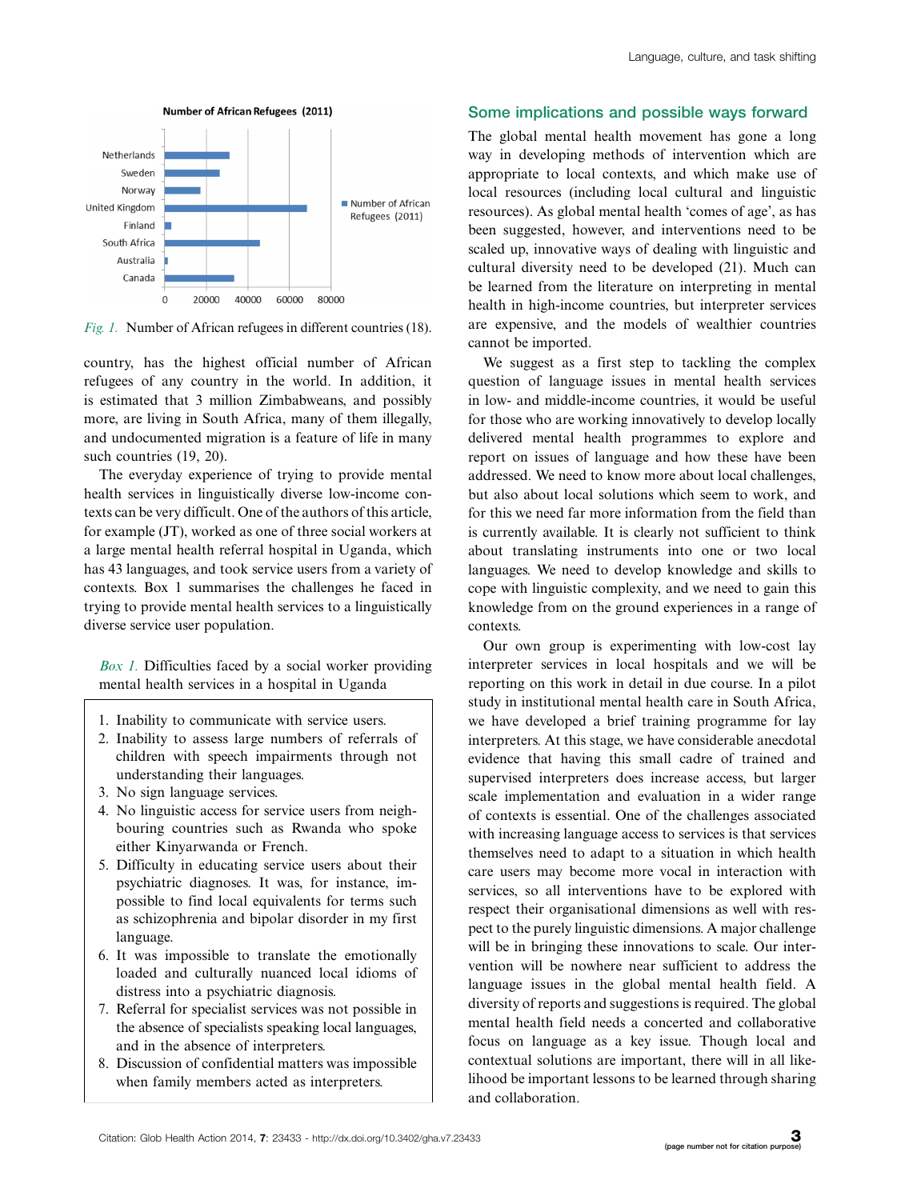

Fig. 1. Number of African refugees in different countries (18).

country, has the highest official number of African refugees of any country in the world. In addition, it is estimated that 3 million Zimbabweans, and possibly more, are living in South Africa, many of them illegally, and undocumented migration is a feature of life in many such countries (19, 20).

The everyday experience of trying to provide mental health services in linguistically diverse low-income contexts can be very difficult. One of the authors of this article, for example (JT), worked as one of three social workers at a large mental health referral hospital in Uganda, which has 43 languages, and took service users from a variety of contexts. Box 1 summarises the challenges he faced in trying to provide mental health services to a linguistically diverse service user population.

Box 1. Difficulties faced by a social worker providing mental health services in a hospital in Uganda

- 1. Inability to communicate with service users.
- 2. Inability to assess large numbers of referrals of children with speech impairments through not understanding their languages.
- 3. No sign language services.
- 4. No linguistic access for service users from neighbouring countries such as Rwanda who spoke either Kinyarwanda or French.
- 5. Difficulty in educating service users about their psychiatric diagnoses. It was, for instance, impossible to find local equivalents for terms such as schizophrenia and bipolar disorder in my first language.
- 6. It was impossible to translate the emotionally loaded and culturally nuanced local idioms of distress into a psychiatric diagnosis.
- 7. Referral for specialist services was not possible in the absence of specialists speaking local languages, and in the absence of interpreters.
- 8. Discussion of confidential matters was impossible when family members acted as interpreters.

# Some implications and possible ways forward

The global mental health movement has gone a long way in developing methods of intervention which are appropriate to local contexts, and which make use of local resources (including local cultural and linguistic resources). As global mental health 'comes of age', as has been suggested, however, and interventions need to be scaled up, innovative ways of dealing with linguistic and cultural diversity need to be developed (21). Much can be learned from the literature on interpreting in mental health in high-income countries, but interpreter services are expensive, and the models of wealthier countries cannot be imported.

We suggest as a first step to tackling the complex question of language issues in mental health services in low- and middle-income countries, it would be useful for those who are working innovatively to develop locally delivered mental health programmes to explore and report on issues of language and how these have been addressed. We need to know more about local challenges, but also about local solutions which seem to work, and for this we need far more information from the field than is currently available. It is clearly not sufficient to think about translating instruments into one or two local languages. We need to develop knowledge and skills to cope with linguistic complexity, and we need to gain this knowledge from on the ground experiences in a range of contexts.

Our own group is experimenting with low-cost lay interpreter services in local hospitals and we will be reporting on this work in detail in due course. In a pilot study in institutional mental health care in South Africa, we have developed a brief training programme for lay interpreters. At this stage, we have considerable anecdotal evidence that having this small cadre of trained and supervised interpreters does increase access, but larger scale implementation and evaluation in a wider range of contexts is essential. One of the challenges associated with increasing language access to services is that services themselves need to adapt to a situation in which health care users may become more vocal in interaction with services, so all interventions have to be explored with respect their organisational dimensions as well with respect to the purely linguistic dimensions. A major challenge will be in bringing these innovations to scale. Our intervention will be nowhere near sufficient to address the language issues in the global mental health field. A diversity of reports and suggestions is required. The global mental health field needs a concerted and collaborative focus on language as a key issue. Though local and contextual solutions are important, there will in all likelihood be important lessons to be learned through sharing and collaboration.